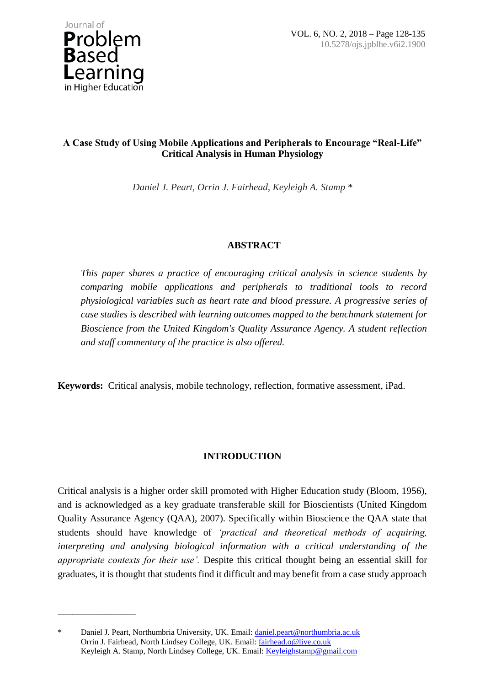

\_\_\_\_\_\_\_\_\_\_\_\_\_\_\_\_

# **A Case Study of Using Mobile Applications and Peripherals to Encourage "Real-Life" Critical Analysis in Human Physiology**

*Daniel J. Peart, Orrin J. Fairhead, Keyleigh A. Stamp \**

# **ABSTRACT**

*This paper shares a practice of encouraging critical analysis in science students by comparing mobile applications and peripherals to traditional tools to record physiological variables such as heart rate and blood pressure. A progressive series of case studies is described with learning outcomes mapped to the benchmark statement for Bioscience from the United Kingdom's Quality Assurance Agency. A student reflection and staff commentary of the practice is also offered.*

**Keywords:** Critical analysis, mobile technology, reflection, formative assessment, iPad.

# **INTRODUCTION**

Critical analysis is a higher order skill promoted with Higher Education study (Bloom, 1956), and is acknowledged as a key graduate transferable skill for Bioscientists (United Kingdom Quality Assurance Agency (QAA), 2007). Specifically within Bioscience the QAA state that students should have knowledge of *'practical and theoretical methods of acquiring, interpreting and analysing biological information with a critical understanding of the appropriate contexts for their use'.* Despite this critical thought being an essential skill for graduates, it is thought that students find it difficult and may benefit from a case study approach

<sup>\*</sup> Daniel J. Peart, Northumbria University, UK. Email: [daniel.peart@northumbria.ac.uk](mailto:daniel.peart@northumbria.ac.uk) Orrin J. Fairhead, North Lindsey College, UK. Email[: fairhead.o@live.co.uk](mailto:fairhead.o@live.co.uk) Keyleigh A. Stamp, North Lindsey College, UK. Email: [Keyleighstamp@gmail.com](mailto:Keyleighstamp@gmail.com)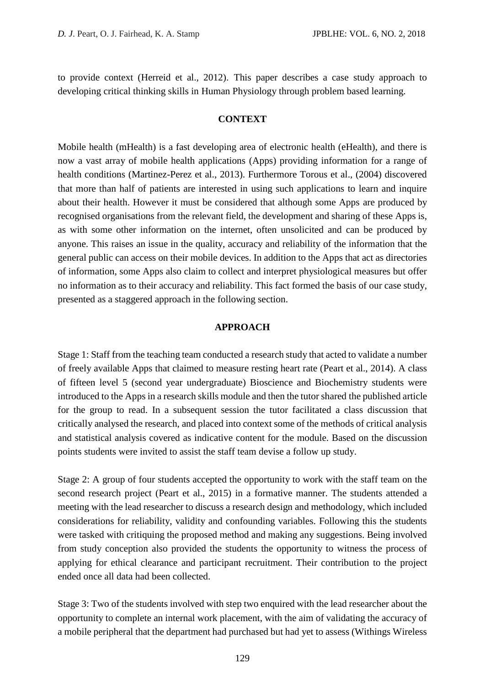to provide context (Herreid et al., 2012). This paper describes a case study approach to developing critical thinking skills in Human Physiology through problem based learning.

## **CONTEXT**

Mobile health (mHealth) is a fast developing area of electronic health (eHealth), and there is now a vast array of mobile health applications (Apps) providing information for a range of health conditions (Martinez-Perez et al., 2013). Furthermore Torous et al., (2004) discovered that more than half of patients are interested in using such applications to learn and inquire about their health. However it must be considered that although some Apps are produced by recognised organisations from the relevant field, the development and sharing of these Apps is, as with some other information on the internet, often unsolicited and can be produced by anyone. This raises an issue in the quality, accuracy and reliability of the information that the general public can access on their mobile devices. In addition to the Apps that act as directories of information, some Apps also claim to collect and interpret physiological measures but offer no information as to their accuracy and reliability. This fact formed the basis of our case study, presented as a staggered approach in the following section.

### **APPROACH**

Stage 1: Staff from the teaching team conducted a research study that acted to validate a number of freely available Apps that claimed to measure resting heart rate (Peart et al., 2014). A class of fifteen level 5 (second year undergraduate) Bioscience and Biochemistry students were introduced to the Apps in a research skills module and then the tutor shared the published article for the group to read. In a subsequent session the tutor facilitated a class discussion that critically analysed the research, and placed into context some of the methods of critical analysis and statistical analysis covered as indicative content for the module. Based on the discussion points students were invited to assist the staff team devise a follow up study.

Stage 2: A group of four students accepted the opportunity to work with the staff team on the second research project (Peart et al., 2015) in a formative manner. The students attended a meeting with the lead researcher to discuss a research design and methodology, which included considerations for reliability, validity and confounding variables. Following this the students were tasked with critiquing the proposed method and making any suggestions. Being involved from study conception also provided the students the opportunity to witness the process of applying for ethical clearance and participant recruitment. Their contribution to the project ended once all data had been collected.

Stage 3: Two of the students involved with step two enquired with the lead researcher about the opportunity to complete an internal work placement, with the aim of validating the accuracy of a mobile peripheral that the department had purchased but had yet to assess (Withings Wireless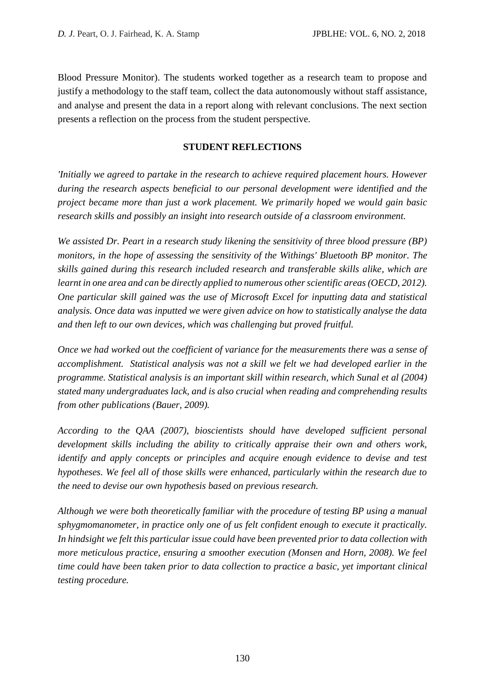Blood Pressure Monitor). The students worked together as a research team to propose and justify a methodology to the staff team, collect the data autonomously without staff assistance, and analyse and present the data in a report along with relevant conclusions. The next section presents a reflection on the process from the student perspective.

## **STUDENT REFLECTIONS**

*'Initially we agreed to partake in the research to achieve required placement hours. However during the research aspects beneficial to our personal development were identified and the project became more than just a work placement. We primarily hoped we would gain basic research skills and possibly an insight into research outside of a classroom environment.* 

*We assisted Dr. Peart in a research study likening the sensitivity of three blood pressure (BP) monitors, in the hope of assessing the sensitivity of the Withings' Bluetooth BP monitor. The skills gained during this research included research and transferable skills alike, which are learnt in one area and can be directly applied to numerous other scientific areas (OECD, 2012). One particular skill gained was the use of Microsoft Excel for inputting data and statistical analysis. Once data was inputted we were given advice on how to statistically analyse the data and then left to our own devices, which was challenging but proved fruitful.* 

*Once we had worked out the coefficient of variance for the measurements there was a sense of accomplishment. Statistical analysis was not a skill we felt we had developed earlier in the programme. Statistical analysis is an important skill within research, which Sunal et al (2004) stated many undergraduates lack, and is also crucial when reading and comprehending results from other publications (Bauer, 2009).*

*According to the QAA (2007), bioscientists should have developed sufficient personal development skills including the ability to critically appraise their own and others work, identify and apply concepts or principles and acquire enough evidence to devise and test hypotheses. We feel all of those skills were enhanced, particularly within the research due to the need to devise our own hypothesis based on previous research.* 

*Although we were both theoretically familiar with the procedure of testing BP using a manual sphygmomanometer, in practice only one of us felt confident enough to execute it practically. In hindsight we felt this particular issue could have been prevented prior to data collection with more meticulous practice, ensuring a smoother execution (Monsen and Horn, 2008). We feel time could have been taken prior to data collection to practice a basic, yet important clinical testing procedure.*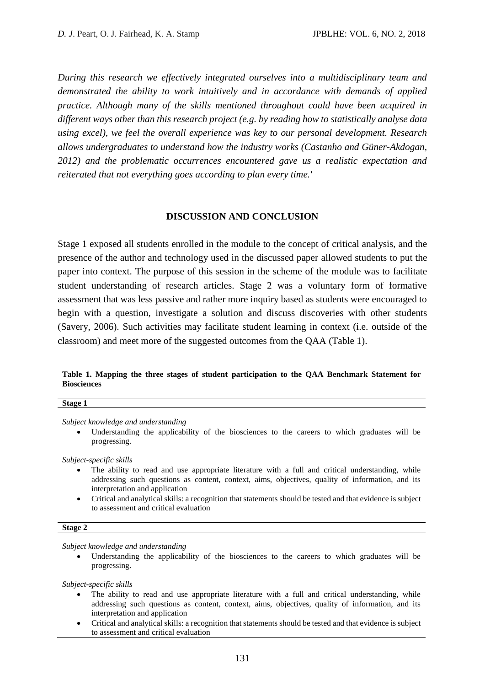*During this research we effectively integrated ourselves into a multidisciplinary team and demonstrated the ability to work intuitively and in accordance with demands of applied practice. Although many of the skills mentioned throughout could have been acquired in different ways other than this research project (e.g. by reading how to statistically analyse data using excel), we feel the overall experience was key to our personal development. Research allows undergraduates to understand how the industry works (Castanho and Güner-Akdogan, 2012) and the problematic occurrences encountered gave us a realistic expectation and reiterated that not everything goes according to plan every time.'* 

## **DISCUSSION AND CONCLUSION**

Stage 1 exposed all students enrolled in the module to the concept of critical analysis, and the presence of the author and technology used in the discussed paper allowed students to put the paper into context. The purpose of this session in the scheme of the module was to facilitate student understanding of research articles. Stage 2 was a voluntary form of formative assessment that was less passive and rather more inquiry based as students were encouraged to begin with a question, investigate a solution and discuss discoveries with other students (Savery, 2006). Such activities may facilitate student learning in context (i.e. outside of the classroom) and meet more of the suggested outcomes from the QAA (Table 1).

### **Table 1. Mapping the three stages of student participation to the QAA Benchmark Statement for Biosciences**

| Stage 1 |  |  |
|---------|--|--|
|         |  |  |

*Subject knowledge and understanding*

 Understanding the applicability of the biosciences to the careers to which graduates will be progressing.

*Subject-specific skills*

- The ability to read and use appropriate literature with a full and critical understanding, while addressing such questions as content, context, aims, objectives, quality of information, and its interpretation and application
- Critical and analytical skills: a recognition that statements should be tested and that evidence is subject to assessment and critical evaluation

#### **Stage 2**

*Subject knowledge and understanding*

 Understanding the applicability of the biosciences to the careers to which graduates will be progressing.

*Subject-specific skills*

- The ability to read and use appropriate literature with a full and critical understanding, while addressing such questions as content, context, aims, objectives, quality of information, and its interpretation and application
- Critical and analytical skills: a recognition that statements should be tested and that evidence is subject to assessment and critical evaluation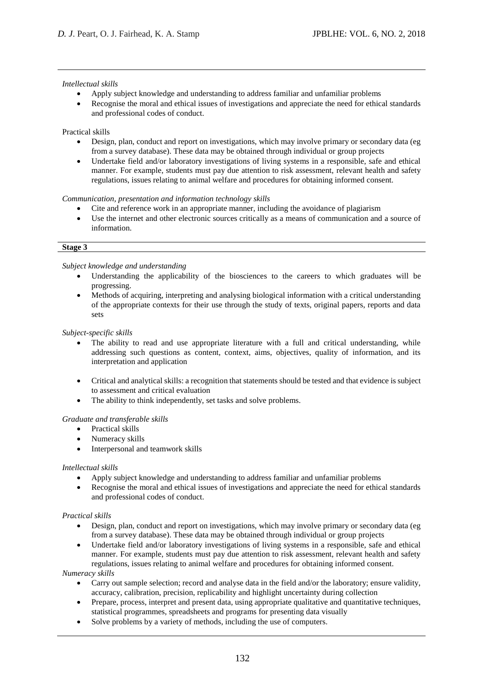#### *Intellectual skills*

- Apply subject knowledge and understanding to address familiar and unfamiliar problems
- Recognise the moral and ethical issues of investigations and appreciate the need for ethical standards and professional codes of conduct.

#### Practical skills

- Design, plan, conduct and report on investigations, which may involve primary or secondary data (eg from a survey database). These data may be obtained through individual or group projects
- Undertake field and/or laboratory investigations of living systems in a responsible, safe and ethical manner. For example, students must pay due attention to risk assessment, relevant health and safety regulations, issues relating to animal welfare and procedures for obtaining informed consent.

#### *Communication, presentation and information technology skills*

- Cite and reference work in an appropriate manner, including the avoidance of plagiarism
- Use the internet and other electronic sources critically as a means of communication and a source of information.

#### **Stage 3**

#### *Subject knowledge and understanding*

- Understanding the applicability of the biosciences to the careers to which graduates will be progressing.
- Methods of acquiring, interpreting and analysing biological information with a critical understanding of the appropriate contexts for their use through the study of texts, original papers, reports and data sets

#### *Subject-specific skills*

- The ability to read and use appropriate literature with a full and critical understanding, while addressing such questions as content, context, aims, objectives, quality of information, and its interpretation and application
- Critical and analytical skills: a recognition that statements should be tested and that evidence is subject to assessment and critical evaluation
- The ability to think independently, set tasks and solve problems.

#### *Graduate and transferable skills*

- Practical skills
- Numeracy skills
- Interpersonal and teamwork skills

#### *Intellectual skills*

- Apply subject knowledge and understanding to address familiar and unfamiliar problems
- Recognise the moral and ethical issues of investigations and appreciate the need for ethical standards and professional codes of conduct.

#### *Practical skills*

- Design, plan, conduct and report on investigations, which may involve primary or secondary data (eg from a survey database). These data may be obtained through individual or group projects
- Undertake field and/or laboratory investigations of living systems in a responsible, safe and ethical manner. For example, students must pay due attention to risk assessment, relevant health and safety regulations, issues relating to animal welfare and procedures for obtaining informed consent.

#### *Numeracy skills*

- Carry out sample selection; record and analyse data in the field and/or the laboratory; ensure validity, accuracy, calibration, precision, replicability and highlight uncertainty during collection
- Prepare, process, interpret and present data, using appropriate qualitative and quantitative techniques, statistical programmes, spreadsheets and programs for presenting data visually
- Solve problems by a variety of methods, including the use of computers.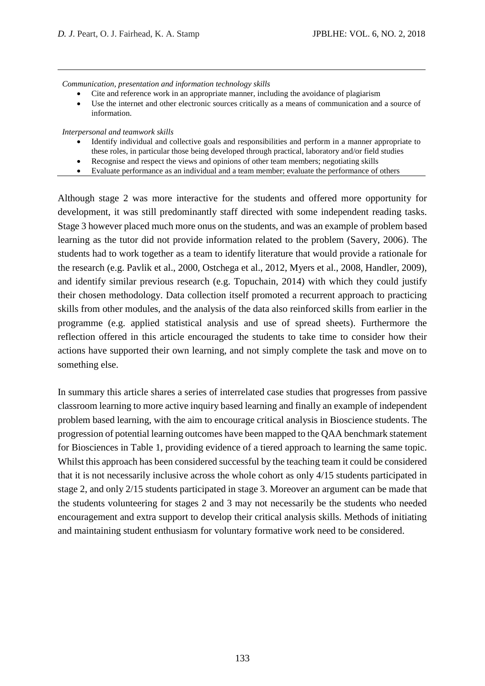*Communication, presentation and information technology skills*

- Cite and reference work in an appropriate manner, including the avoidance of plagiarism
- Use the internet and other electronic sources critically as a means of communication and a source of information.

*Interpersonal and teamwork skills*

- Identify individual and collective goals and responsibilities and perform in a manner appropriate to these roles, in particular those being developed through practical, laboratory and/or field studies
- Recognise and respect the views and opinions of other team members; negotiating skills
- Evaluate performance as an individual and a team member; evaluate the performance of others

Although stage 2 was more interactive for the students and offered more opportunity for development, it was still predominantly staff directed with some independent reading tasks. Stage 3 however placed much more onus on the students, and was an example of problem based learning as the tutor did not provide information related to the problem (Savery, 2006). The students had to work together as a team to identify literature that would provide a rationale for the research (e.g. Pavlik et al., 2000, Ostchega et al., 2012, Myers et al., 2008, Handler, 2009), and identify similar previous research (e.g. Topuchain, 2014) with which they could justify their chosen methodology. Data collection itself promoted a recurrent approach to practicing skills from other modules, and the analysis of the data also reinforced skills from earlier in the programme (e.g. applied statistical analysis and use of spread sheets). Furthermore the reflection offered in this article encouraged the students to take time to consider how their actions have supported their own learning, and not simply complete the task and move on to something else.

In summary this article shares a series of interrelated case studies that progresses from passive classroom learning to more active inquiry based learning and finally an example of independent problem based learning, with the aim to encourage critical analysis in Bioscience students. The progression of potential learning outcomes have been mapped to the QAA benchmark statement for Biosciences in Table 1, providing evidence of a tiered approach to learning the same topic. Whilst this approach has been considered successful by the teaching team it could be considered that it is not necessarily inclusive across the whole cohort as only 4/15 students participated in stage 2, and only 2/15 students participated in stage 3. Moreover an argument can be made that the students volunteering for stages 2 and 3 may not necessarily be the students who needed encouragement and extra support to develop their critical analysis skills. Methods of initiating and maintaining student enthusiasm for voluntary formative work need to be considered.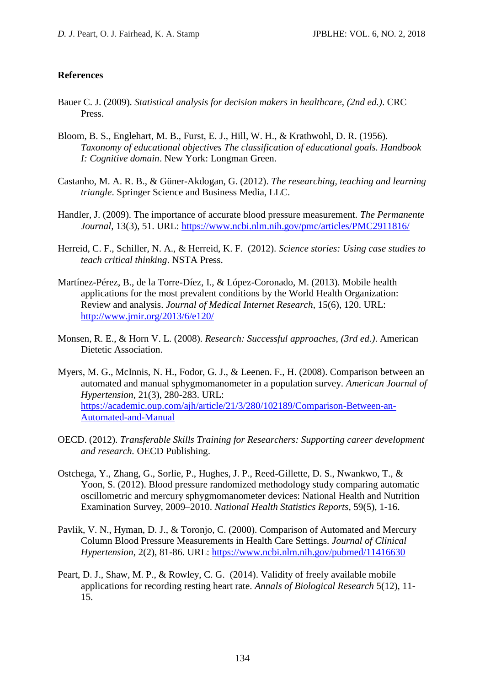### **References**

- Bauer C. J. (2009). *Statistical analysis for decision makers in healthcare, (2nd ed.)*. CRC Press.
- Bloom, B. S., Englehart, M. B., Furst, E. J., Hill, W. H., & Krathwohl, D. R. (1956). *Taxonomy of educational objectives The classification of educational goals. Handbook I: Cognitive domain*. New York: Longman Green.
- Castanho, M. A. R. B., & Güner-Akdogan, G. (2012). *The researching, teaching and learning triangle*. Springer Science and Business Media, LLC.
- Handler, J. (2009). The importance of accurate blood pressure measurement. *The Permanente Journal,* 13(3), 51. URL:<https://www.ncbi.nlm.nih.gov/pmc/articles/PMC2911816/>
- Herreid, C. F., Schiller, N. A., & Herreid, K. F. (2012). *Science stories: Using case studies to teach critical thinking*. NSTA Press.
- Martínez-Pérez, B., de la Torre-Díez, I., & López-Coronado, M. (2013). Mobile health applications for the most prevalent conditions by the World Health Organization: Review and analysis. *Journal of Medical Internet Research,* 15(6), 120. URL: <http://www.jmir.org/2013/6/e120/>
- Monsen, R. E., & Horn V. L. (2008). *Research: Successful approaches, (3rd ed.)*. American Dietetic Association.
- Myers, M. G., McInnis, N. H., Fodor, G. J., & Leenen. F., H. (2008). Comparison between an automated and manual sphygmomanometer in a population survey. *American Journal of Hypertension,* 21(3), 280-283. URL: [https://academic.oup.com/ajh/article/21/3/280/102189/Comparison-Between-an-](https://academic.oup.com/ajh/article/21/3/280/102189/Comparison-Between-an-Automated-and-Manual)[Automated-and-Manual](https://academic.oup.com/ajh/article/21/3/280/102189/Comparison-Between-an-Automated-and-Manual)
- OECD. (2012). *Transferable Skills Training for Researchers: Supporting career development and research.* OECD Publishing.
- Ostchega, Y., Zhang, G., Sorlie, P., Hughes, J. P., Reed-Gillette, D. S., Nwankwo, T., & Yoon, S. (2012). Blood pressure randomized methodology study comparing automatic oscillometric and mercury sphygmomanometer devices: National Health and Nutrition Examination Survey, 2009–2010. *National Health Statistics Reports,* 59(5), 1-16.
- Pavlik, V. N., Hyman, D. J., & Toronjo, C. (2000). Comparison of Automated and Mercury Column Blood Pressure Measurements in Health Care Settings. *Journal of Clinical Hypertension,* 2(2), 81-86. URL:<https://www.ncbi.nlm.nih.gov/pubmed/11416630>
- Peart, D. J., Shaw, M. P., & Rowley, C. G. (2014). Validity of freely available mobile applications for recording resting heart rate. *Annals of Biological Research* 5(12), 11- 15.